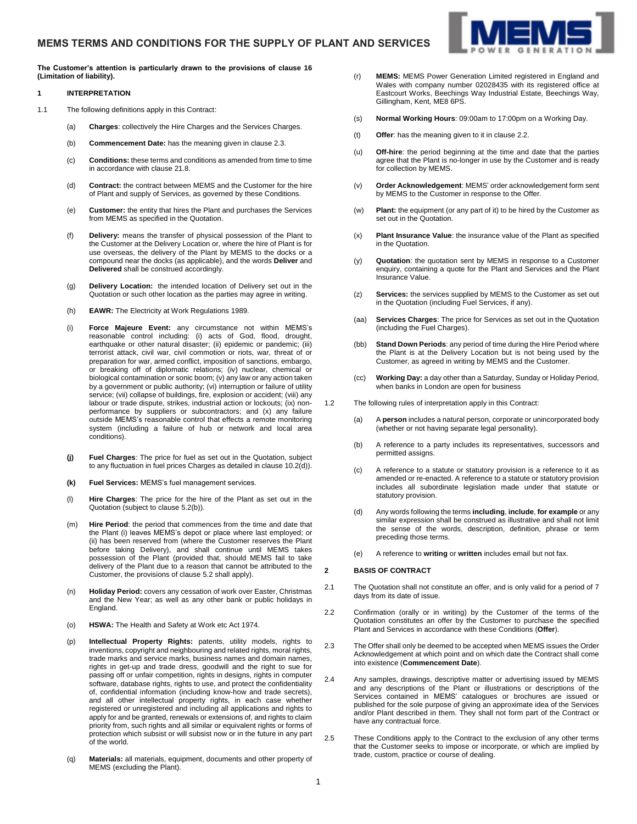**The Customer's attention is particularly drawn to the provisions of clause [16](#page-4-0) (Limitation of liability).**

# **1 INTERPRETATION**

- 1.1 The following definitions apply in this Contract:
	- (a) **Charges**: collectively the Hire Charges and the Services Charges.
	- (b) **Commencement Date:** has the meaning given in claus[e 2.3.](#page-0-0)
	- (c) **Conditions:** these terms and conditions as amended from time to time in accordance with clause [21.8.](#page-5-0)
	- (d) **Contract:** the contract between MEMS and the Customer for the hire of Plant and supply of Services, as governed by these Conditions.
	- (e) **Customer:** the entity that hires the Plant and purchases the Services from MEMS as specified in the Quotation.
	- (f) **Delivery:** means the transfer of physical possession of the Plant to the Customer at the Delivery Location or, where the hire of Plant is for use overseas, the delivery of the Plant by MEMS to the docks or a compound near the docks (as applicable), and the words **Deliver** and **Delivered** shall be construed accordingly.
	- (g) **Delivery Location:** the intended location of Delivery set out in the Quotation or such other location as the parties may agree in writing.
	- (h) **EAWR:** The Electricity at Work Regulations 1989.
	- (i) **Force Majeure Event:** any circumstance not within MEMS's reasonable control including: (i) acts of God, flood, drought, earthquake or other natural disaster; (ii) epidemic or pandemic; (iii) terrorist attack, civil war, civil commotion or riots, war, threat of or preparation for war, armed conflict, imposition of sanctions, embargo, or breaking off of diplomatic relations; (iv) nuclear, chemical or biological contamination or sonic boom; (v) any law or any action taken by a government or public authority; (vi) interruption or failure of utility service; (vii) collapse of buildings, fire, explosion or accident; (viii) any labour or trade dispute, strikes, industrial action or lockouts; (ix) nonperformance by suppliers or subcontractors; and (x) any failure outside MEMS's reasonable control that effects a remote monitoring system (including a failure of hub or network and local area conditions).
	- **(j) Fuel Charges**: The price for fuel as set out in the Quotation, subject to any fluctuation in fuel prices Charges as detailed in claus[e 10.2\(d\)\)](#page-2-0).
	- **(k) Fuel Services:** MEMS's fuel management services.
	- (l) **Hire Charges**: The price for the hire of the Plant as set out in the Quotation (subject to claus[e 5.2\(b\)\).](#page-1-0)
	- (m) **Hire Period**: the period that commences from the time and date that the Plant (i) leaves MEMS's depot or place where last employed; or (ii) has been reserved from (where the Customer reserves the Plant before taking Delivery), and shall continue until MEMS takes possession of the Plant (provided that, should MEMS fail to take delivery of the Plant due to a reason that cannot be attributed to the Customer, the provisions of clause [5.2](#page-1-1) shall apply).
	- (n) **Holiday Period:** covers any cessation of work over Easter, Christmas and the New Year; as well as any other bank or public holidays in England.
	- (o) **HSWA:** The Health and Safety at Work etc Act 1974.
	- (p) **Intellectual Property Rights:** patents, utility models, rights to inventions, copyright and neighbouring and related rights, moral rights, trade marks and service marks, business names and domain names, rights in get-up and trade dress, goodwill and the right to sue for passing off or unfair competition, rights in designs, rights in computer software, database rights, rights to use, and protect the confidentiality of, confidential information (including know-how and trade secrets), and all other intellectual property rights, in each case whether registered or unregistered and including all applications and rights to apply for and be granted, renewals or extensions of, and rights to claim priority from, such rights and all similar or equivalent rights or forms of protection which subsist or will subsist now or in the future in any part of the world.
	- (q) **Materials:** all materials, equipment, documents and other property of MEMS (excluding the Plant).
- (r) **MEMS:** MEMS Power Generation Limited registered in England and Wales with company number 02028435 with its registered office at Eastcourt Works, Beechings Way Industrial Estate, Beechings Way, Gillingham, Kent, ME8 6PS.
- (s) **Normal Working Hours**: 09:00am to 17:00pm on a Working Day.
- (t) **Offer**: has the meaning given to it in claus[e 2.2.](#page-0-1)
- (u) **Off-hire**: the period beginning at the time and date that the parties agree that the Plant is no-longer in use by the Customer and is ready for collection by MEMS.
- (v) **Order Acknowledgement**: MEMS' order acknowledgement form sent by MEMS to the Customer in response to the Offer.
- (w) **Plant:** the equipment (or any part of it) to be hired by the Customer as set out in the Quotation.
- (x) **Plant Insurance Value**: the insurance value of the Plant as specified in the Quotation.
- (y) **Quotation**: the quotation sent by MEMS in response to a Customer enquiry, containing a quote for the Plant and Services and the Plant Insurance Value.
- (z) **Services:** the services supplied by MEMS to the Customer as set out in the Quotation (including Fuel Services, if any).
- (aa) **Services Charges**: The price for Services as set out in the Quotation (including the Fuel Charges).
- (bb) **Stand Down Periods**: any period of time during the Hire Period where the Plant is at the Delivery Location but is not being used by the Customer, as agreed in writing by MEMS and the Customer.
- (cc) **Working Day:** a day other than a Saturday, Sunday or Holiday Period, when banks in London are open for business
- 1.2 The following rules of interpretation apply in this Contract:
	- (a) A **person** includes a natural person, corporate or unincorporated body (whether or not having separate legal personality).
	- (b) A reference to a party includes its representatives, successors and permitted assigns.
	- (c) A reference to a statute or statutory provision is a reference to it as amended or re-enacted. A reference to a statute or statutory provision includes all subordinate legislation made under that statute or statutory provision.
	- (d) Any words following the terms **including**, **include**, **for example** or any similar expression shall be construed as illustrative and shall not limit the sense of the words, description, definition, phrase or term preceding those terms.
	- (e) A reference to **writing** or **written** includes email but not fax.

#### **2 BASIS OF CONTRACT**

- 2.1 The Quotation shall not constitute an offer, and is only valid for a period of 7 days from its date of issue.
- <span id="page-0-1"></span>2.2 Confirmation (orally or in writing) by the Customer of the terms of the Quotation constitutes an offer by the Customer to purchase the specified Plant and Services in accordance with these Conditions (**Offer**).
- <span id="page-0-0"></span>2.3 The Offer shall only be deemed to be accepted when MEMS issues the Order Acknowledgement at which point and on which date the Contract shall come into existence (**Commencement Date**).
- 2.4 Any samples, drawings, descriptive matter or advertising issued by MEMS and any descriptions of the Plant or illustrations or descriptions of the Services contained in MEMS' catalogues or brochures are issued or published for the sole purpose of giving an approximate idea of the Services and/or Plant described in them. They shall not form part of the Contract or have any contractual force.
- 2.5 These Conditions apply to the Contract to the exclusion of any other terms that the Customer seeks to impose or incorporate, or which are implied by trade, custom, practice or course of dealing.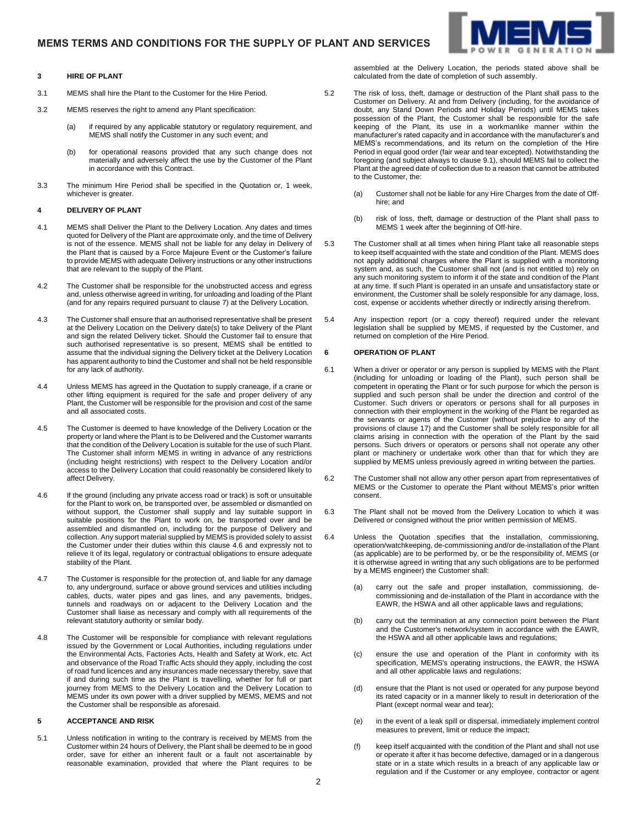

- 3.1 MEMS shall hire the Plant to the Customer for the Hire Period.
- 3.2 MEMS reserves the right to amend any Plant specification:
	- (a) if required by any applicable statutory or regulatory requirement, and MEMS shall notify the Customer in any such event; and
	- (b) for operational reasons provided that any such change does not materially and adversely affect the use by the Customer of the Plant in accordance with this Contract.
- <span id="page-1-3"></span>3.3 The minimum Hire Period shall be specified in the Quotation or, 1 week, whichever is greater.

### **4 DELIVERY OF PLANT**

- 4.1 MEMS shall Deliver the Plant to the Delivery Location. Any dates and times quoted for Delivery of the Plant are approximate only, and the time of Delivery is not of the essence. MEMS shall not be liable for any delay in Delivery of the Plant that is caused by a Force Majeure Event or the Customer's failure to provide MEMS with adequate Delivery instructions or any other instructions that are relevant to the supply of the Plant.
- 4.2 The Customer shall be responsible for the unobstructed access and egress and, unless otherwise agreed in writing, for unloading and loading of the Plant (and for any repairs required pursuant to clause [7\)](#page-2-1) at the Delivery Location.
- 4.3 The Customer shall ensure that an authorised representative shall be present at the Delivery Location on the Delivery date(s) to take Delivery of the Plant and sign the related Delivery ticket. Should the Customer fail to ensure that such authorised representative is so present, MEMS shall be entitled to assume that the individual signing the Delivery ticket at the Delivery Location has apparent authority to bind the Customer and shall not be held responsible for any lack of authority.
- 4.4 Unless MEMS has agreed in the Quotation to supply craneage, if a crane or other lifting equipment is required for the safe and proper delivery of any Plant, the Customer will be responsible for the provision and cost of the same and all associated costs.
- 4.5 The Customer is deemed to have knowledge of the Delivery Location or the property or land where the Plant is to be Delivered and the Customer warrants that the condition of the Delivery Location is suitable for the use of such Plant. The Customer shall inform MEMS in writing in advance of any restrictions (including height restrictions) with respect to the Delivery Location and/or access to the Delivery Location that could reasonably be considered likely to affect Delivery.
- <span id="page-1-2"></span>4.6 If the ground (including any private access road or track) is soft or unsuitable for the Plant to work on, be transported over, be assembled or dismantled on without support, the Customer shall supply and lay suitable support in suitable positions for the Plant to work on, be transported over and be assembled and dismantled on, including for the purpose of Delivery and collection. Any support material supplied by MEMS is provided solely to assist the Customer under their duties within this claus[e 4.6](#page-1-2) and expressly not to relieve it of its legal, regulatory or contractual obligations to ensure adequate stability of the Plant.
- 4.7 The Customer is responsible for the protection of, and liable for any damage to, any underground, surface or above ground services and utilities including cables, ducts, water pipes and gas lines, and any pavements, bridges, tunnels and roadways on or adjacent to the Delivery Location and the Customer shall liaise as necessary and comply with all requirements of the relevant statutory authority or similar body.
- 4.8 The Customer will be responsible for compliance with relevant regulations issued by the Government or Local Authorities, including regulations under the Environmental Acts, Factories Acts, Health and Safety at Work, etc. Act and observance of the Road Traffic Acts should they apply, including the cost of road fund licences and any insurances made necessary thereby, save that if and during such time as the Plant is travelling, whether for full or part journey from MEMS to the Delivery Location and the Delivery Location to MEMS under its own power with a driver supplied by MEMS, MEMS and not the Customer shall be responsible as aforesaid.

# **5 ACCEPTANCE AND RISK**

5.1 Unless notification in writing to the contrary is received by MEMS from the Customer within 24 hours of Delivery, the Plant shall be deemed to be in good order, save for either an inherent fault or a fault not ascertainable by reasonable examination, provided that where the Plant requires to be

assembled at the Delivery Location, the periods stated above shall be calculated from the date of completion of such assembly.

- <span id="page-1-1"></span>5.2 The risk of loss, theft, damage or destruction of the Plant shall pass to the Customer on Delivery. At and from Delivery (including, for the avoidance of doubt, any Stand Down Periods and Holiday Periods) until MEMS takes possession of the Plant, the Customer shall be responsible for the safe keeping of the Plant, its use in a workmanlike manner within the manufacturer's rated capacity and in accordance with the manufacturer's and MEMS's recommendations, and its return on the completion of the Hire Period in equal good order (fair wear and tear excepted). Notwithstanding the foregoing (and subject always to claus[e 9.1\),](#page-2-2) should MEMS fail to collect the Plant at the agreed date of collection due to a reason that cannot be attributed to the Customer, the:
	- (a) Customer shall not be liable for any Hire Charges from the date of Offhire; and
	- (b) risk of loss, theft, damage or destruction of the Plant shall pass to MEMS 1 week after the beginning of Off-hire.
- <span id="page-1-0"></span>5.3 The Customer shall at all times when hiring Plant take all reasonable steps to keep itself acquainted with the state and condition of the Plant. MEMS does not apply additional charges where the Plant is supplied with a monitoring system and, as such, the Customer shall not (and is not entitled to) rely on any such monitoring system to inform it of the state and condition of the Plant at any time. If such Plant is operated in an unsafe and unsatisfactory state or environment, the Customer shall be solely responsible for any damage, loss, cost, expense or accidents whether directly or indirectly arising therefrom.
- 5.4 Any inspection report (or a copy thereof) required under the relevant legislation shall be supplied by MEMS, if requested by the Customer, and returned on completion of the Hire Period.

### **6 OPERATION OF PLANT**

- 6.1 When a driver or operator or any person is supplied by MEMS with the Plant (including for unloading or loading of the Plant), such person shall be competent in operating the Plant or for such purpose for which the person is supplied and such person shall be under the direction and control of the Customer. Such drivers or operators or persons shall for all purposes in connection with their employment in the working of the Plant be regarded as the servants or agents of the Customer (without prejudice to any of the provisions of clause [17\)](#page-4-1) and the Customer shall be solely responsible for all claims arising in connection with the operation of the Plant by the said persons. Such drivers or operators or persons shall not operate any other plant or machinery or undertake work other than that for which they are supplied by MEMS unless previously agreed in writing between the parties.
- 6.2 The Customer shall not allow any other person apart from representatives of MEMS or the Customer to operate the Plant without MEMS's prior written consent.
- 6.3 The Plant shall not be moved from the Delivery Location to which it was Delivered or consigned without the prior written permission of MEMS.
- 6.4 Unless the Quotation specifies that the installation, commissioning, operation/watchkeeping, de-commissioning and/or de-installation of the Plant (as applicable) are to be performed by, or be the responsibility of, MEMS (or it is otherwise agreed in writing that any such obligations are to be performed by a MEMS engineer) the Customer shall:
	- carry out the safe and proper installation, commissioning, decommissioning and de-installation of the Plant in accordance with the EAWR, the HSWA and all other applicable laws and regulations;
	- (b) carry out the termination at any connection point between the Plant and the Customer's network/system in accordance with the EAWR, the HSWA and all other applicable laws and regulations;
	- (c) ensure the use and operation of the Plant in conformity with its specification, MEMS's operating instructions, the EAWR, the HSWA and all other applicable laws and regulations;
	- (d) ensure that the Plant is not used or operated for any purpose beyond its rated capacity or in a manner likely to result in deterioration of the Plant (except normal wear and tear);
	- (e) in the event of a leak spill or dispersal, immediately implement control measures to prevent, limit or reduce the impact;
	- (f) keep itself acquainted with the condition of the Plant and shall not use or operate it after it has become defective, damaged or in a dangerous state or in a state which results in a breach of any applicable law or regulation and if the Customer or any employee, contractor or agent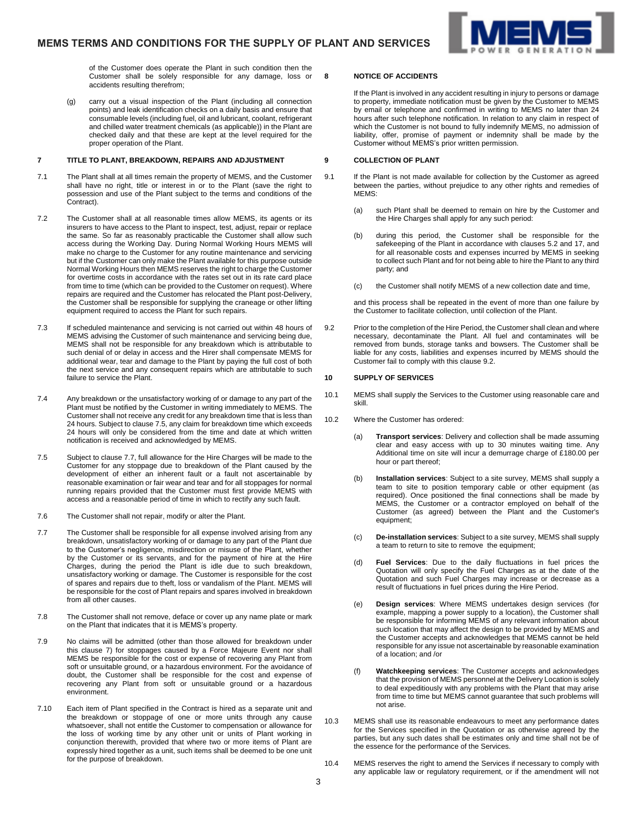

of the Customer does operate the Plant in such condition then the Customer shall be solely responsible for any damage, loss or accidents resulting therefrom;

(g) carry out a visual inspection of the Plant (including all connection points) and leak identification checks on a daily basis and ensure that consumable levels (including fuel, oil and lubricant, coolant, refrigerant and chilled water treatment chemicals (as applicable)) in the Plant are checked daily and that these are kept at the level required for the proper operation of the Plant.

#### <span id="page-2-1"></span>**7 TITLE TO PLANT, BREAKDOWN, REPAIRS AND ADJUSTMENT**

- 7.1 The Plant shall at all times remain the property of MEMS, and the Customer shall have no right, title or interest in or to the Plant (save the right to possession and use of the Plant subject to the terms and conditions of the Contract).
- 7.2 The Customer shall at all reasonable times allow MEMS, its agents or its insurers to have access to the Plant to inspect, test, adjust, repair or replace the same. So far as reasonably practicable the Customer shall allow such access during the Working Day. During Normal Working Hours MEMS will make no charge to the Customer for any routine maintenance and servicing but if the Customer can only make the Plant available for this purpose outside Normal Working Hours then MEMS reserves the right to charge the Customer for overtime costs in accordance with the rates set out in its rate card place from time to time (which can be provided to the Customer on request). Where repairs are required and the Customer has relocated the Plant post-Delivery, the Customer shall be responsible for supplying the craneage or other lifting equipment required to access the Plant for such repairs.
- 7.3 If scheduled maintenance and servicing is not carried out within 48 hours of MEMS advising the Customer of such maintenance and servicing being due, MEMS shall not be responsible for any breakdown which is attributable to such denial of or delay in access and the Hirer shall compensate MEMS for additional wear, tear and damage to the Plant by paying the full cost of both the next service and any consequent repairs which are attributable to such failure to service the Plant.
- 7.4 Any breakdown or the unsatisfactory working of or damage to any part of the Plant must be notified by the Customer in writing immediately to MEMS. The Customer shall not receive any credit for any breakdown time that is less than 24 hours. Subject to claus[e 7.5,](#page-2-3) any claim for breakdown time which exceeds 24 hours will only be considered from the time and date at which written notification is received and acknowledged by MEMS.
- <span id="page-2-3"></span>7.5 Subject to claus[e 7.7,](#page-2-4) full allowance for the Hire Charges will be made to the Customer for any stoppage due to breakdown of the Plant caused by the development of either an inherent fault or a fault not ascertainable by reasonable examination or fair wear and tear and for all stoppages for normal running repairs provided that the Customer must first provide MEMS with access and a reasonable period of time in which to rectify any such fault.
- 7.6 The Customer shall not repair, modify or alter the Plant.
- <span id="page-2-4"></span>7.7 The Customer shall be responsible for all expense involved arising from any breakdown, unsatisfactory working of or damage to any part of the Plant due to the Customer's negligence, misdirection or misuse of the Plant, whether by the Customer or its servants, and for the payment of hire at the Hire Charges, during the period the Plant is idle due to such breakdown, unsatisfactory working or damage. The Customer is responsible for the cost of spares and repairs due to theft, loss or vandalism of the Plant. MEMS will be responsible for the cost of Plant repairs and spares involved in breakdown from all other causes.
- 7.8 The Customer shall not remove, deface or cover up any name plate or mark on the Plant that indicates that it is MEMS's property.
- 7.9 No claims will be admitted (other than those allowed for breakdown under this clause [7\)](#page-2-1) for stoppages caused by a Force Majeure Event nor shall MEMS be responsible for the cost or expense of recovering any Plant from soft or unsuitable ground, or a hazardous environment. For the avoidance of doubt, the Customer shall be responsible for the cost and expense of recovering any Plant from soft or unsuitable ground or a hazardous environment.
- 7.10 Each item of Plant specified in the Contract is hired as a separate unit and the breakdown or stoppage of one or more units through any cause whatsoever, shall not entitle the Customer to compensation or allowance for the loss of working time by any other unit or units of Plant working in conjunction therewith, provided that where two or more items of Plant are expressly hired together as a unit, such items shall be deemed to be one unit for the purpose of breakdown.

### **8 NOTICE OF ACCIDENTS**

If the Plant is involved in any accident resulting in injury to persons or damage to property, immediate notification must be given by the Customer to MEMS by email or telephone and confirmed in writing to MEMS no later than 24 hours after such telephone notification. In relation to any claim in respect of which the Customer is not bound to fully indemnify MEMS, no admission of liability, offer, promise of payment or indemnity shall be made by the Customer without MEMS's prior written permission.

#### **9 COLLECTION OF PLANT**

- <span id="page-2-2"></span>9.1 If the Plant is not made available for collection by the Customer as agreed between the parties, without prejudice to any other rights and remedies of MEMS:
	- (a) such Plant shall be deemed to remain on hire by the Customer and the Hire Charges shall apply for any such period:
	- (b) during this period, the Customer shall be responsible for the safekeeping of the Plant in accordance with clause[s 5.2](#page-1-1) and [17,](#page-4-1) and for all reasonable costs and expenses incurred by MEMS in seeking to collect such Plant and for not being able to hire the Plant to any third party; and
	- (c) the Customer shall notify MEMS of a new collection date and time,

and this process shall be repeated in the event of more than one failure by the Customer to facilitate collection, until collection of the Plant.

<span id="page-2-5"></span>9.2 Prior to the completion of the Hire Period, the Customer shall clean and where necessary, decontaminate the Plant. All fuel and contaminates will be removed from bunds, storage tanks and bowsers. The Customer shall be liable for any costs, liabilities and expenses incurred by MEMS should the Customer fail to comply with this claus[e 9.2.](#page-2-5)

# **10 SUPPLY OF SERVICES**

- 10.1 MEMS shall supply the Services to the Customer using reasonable care and skill.
- <span id="page-2-0"></span>10.2 Where the Customer has ordered:
	- (a) **Transport services**: Delivery and collection shall be made assuming clear and easy access with up to 30 minutes waiting time. Any Additional time on site will incur a demurrage charge of £180.00 per hour or part thereof;
	- (b) **Installation services**: Subject to a site survey, MEMS shall supply a team to site to position temporary cable or other equipment (as required). Once positioned the final connections shall be made by MEMS, the Customer or a contractor employed on behalf of the Customer (as agreed) between the Plant and the Customer's equipment;
	- (c) **De-installation services**: Subject to a site survey, MEMS shall supply a team to return to site to remove the equipment;
	- (d) **Fuel Services**: Due to the daily fluctuations in fuel prices the Quotation will only specify the Fuel Charges as at the date of the Quotation and such Fuel Charges may increase or decrease as a result of fluctuations in fuel prices during the Hire Period.
	- (e) **Design services**: Where MEMS undertakes design services (for example, mapping a power supply to a location), the Customer shall be responsible for informing MEMS of any relevant information about such location that may affect the design to be provided by MEMS and the Customer accepts and acknowledges that MEMS cannot be held responsible for any issue not ascertainable by reasonable examination of a location; and /or
	- (f) **Watchkeeping services**: The Customer accepts and acknowledges that the provision of MEMS personnel at the Delivery Location is solely to deal expeditiously with any problems with the Plant that may arise from time to time but MEMS cannot guarantee that such problems will not arise.
- 10.3 MEMS shall use its reasonable endeavours to meet any performance dates for the Services specified in the Quotation or as otherwise agreed by the parties, but any such dates shall be estimates only and time shall not be of the essence for the performance of the Services.
- 10.4 MEMS reserves the right to amend the Services if necessary to comply with any applicable law or regulatory requirement, or if the amendment will not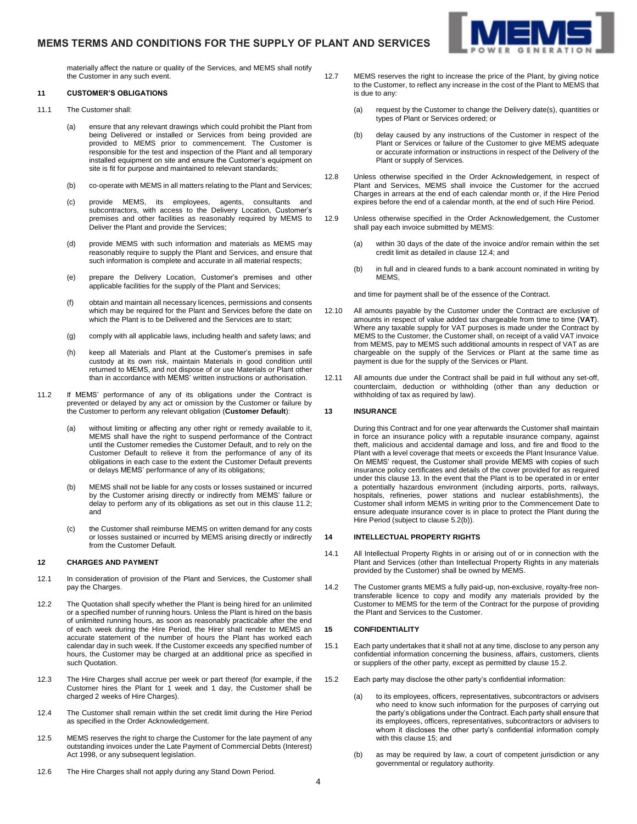# **MEMS TERMS AND CONDITIONS FOR THE SUPPLY OF PLANT AND SERVICES**



materially affect the nature or quality of the Services, and MEMS shall notify the Customer in any such event.

### **11 CUSTOMER'S OBLIGATIONS**

- 11.1 The Customer shall:
	- (a) ensure that any relevant drawings which could prohibit the Plant from being Delivered or installed or Services from being provided are provided to MEMS prior to commencement. The Customer is responsible for the test and inspection of the Plant and all temporary installed equipment on site and ensure the Customer's equipment on site is fit for purpose and maintained to relevant standards;
	- (b) co-operate with MEMS in all matters relating to the Plant and Services;
	- (c) provide MEMS, its employees, agents, consultants and subcontractors, with access to the Delivery Location, Customer's premises and other facilities as reasonably required by MEMS to Deliver the Plant and provide the Services;
	- (d) provide MEMS with such information and materials as MEMS may reasonably require to supply the Plant and Services, and ensure that such information is complete and accurate in all material respects;
	- (e) prepare the Delivery Location, Customer's premises and other applicable facilities for the supply of the Plant and Services;
	- (f) obtain and maintain all necessary licences, permissions and consents which may be required for the Plant and Services before the date on which the Plant is to be Delivered and the Services are to start;
	- (g) comply with all applicable laws, including health and safety laws; and
	- (h) keep all Materials and Plant at the Customer's premises in safe custody at its own risk, maintain Materials in good condition until returned to MEMS, and not dispose of or use Materials or Plant other than in accordance with MEMS' written instructions or authorisation.
- <span id="page-3-0"></span>11.2 If MEMS' performance of any of its obligations under the Contract is prevented or delayed by any act or omission by the Customer or failure by the Customer to perform any relevant obligation (**Customer Default**):
	- (a) without limiting or affecting any other right or remedy available to it, MEMS shall have the right to suspend performance of the Contract until the Customer remedies the Customer Default, and to rely on the Customer Default to relieve it from the performance of any of its obligations in each case to the extent the Customer Default prevents or delays MEMS' performance of any of its obligations;
	- (b) MEMS shall not be liable for any costs or losses sustained or incurred by the Customer arising directly or indirectly from MEMS' failure or delay to perform any of its obligations as set out in this claus[e 11.2;](#page-3-0) and
	- (c) the Customer shall reimburse MEMS on written demand for any costs or losses sustained or incurred by MEMS arising directly or indirectly from the Customer Default.

#### **12 CHARGES AND PAYMENT**

- 12.1 In consideration of provision of the Plant and Services, the Customer shall pay the Charges.
- 12.2 The Quotation shall specify whether the Plant is being hired for an unlimited or a specified number of running hours. Unless the Plant is hired on the basis of unlimited running hours, as soon as reasonably practicable after the end of each week during the Hire Period, the Hirer shall render to MEMS an accurate statement of the number of hours the Plant has worked each calendar day in such week. If the Customer exceeds any specified number of hours, the Customer may be charged at an additional price as specified in such Quotation.
- <span id="page-3-5"></span>12.3 The Hire Charges shall accrue per week or part thereof (for example, if the Customer hires the Plant for 1 week and 1 day, the Customer shall be charged 2 weeks of Hire Charges).
- <span id="page-3-1"></span>12.4 The Customer shall remain within the set credit limit during the Hire Period as specified in the Order Acknowledgement.
- 12.5 MEMS reserves the right to charge the Customer for the late payment of any outstanding invoices under the Late Payment of Commercial Debts (Interest) Act 1998, or any subsequent legislation.
- 12.6 The Hire Charges shall not apply during any Stand Down Period.
- 12.7 MEMS reserves the right to increase the price of the Plant, by giving notice to the Customer, to reflect any increase in the cost of the Plant to MEMS that is due to any:
	- (a) request by the Customer to change the Delivery date(s), quantities or types of Plant or Services ordered; or
	- (b) delay caused by any instructions of the Customer in respect of the Plant or Services or failure of the Customer to give MEMS adequate or accurate information or instructions in respect of the Delivery of the Plant or supply of Services.
- 12.8 Unless otherwise specified in the Order Acknowledgement, in respect of Plant and Services, MEMS shall invoice the Customer for the accrued Charges in arrears at the end of each calendar month or, if the Hire Period expires before the end of a calendar month, at the end of such Hire Period.
- 12.9 Unless otherwise specified in the Order Acknowledgement, the Customer shall pay each invoice submitted by MEMS:
	- (a) within 30 days of the date of the invoice and/or remain within the set credit limit as detailed in claus[e 12.4;](#page-3-1) and
	- (b) in full and in cleared funds to a bank account nominated in writing by MEMS,

and time for payment shall be of the essence of the Contract.

- 12.10 All amounts payable by the Customer under the Contract are exclusive of amounts in respect of value added tax chargeable from time to time (**VAT**). Where any taxable supply for VAT purposes is made under the Contract by MEMS to the Customer, the Customer shall, on receipt of a valid VAT invoice from MEMS, pay to MEMS such additional amounts in respect of VAT as are chargeable on the supply of the Services or Plant at the same time as payment is due for the supply of the Services or Plant.
- 12.11 All amounts due under the Contract shall be paid in full without any set-off, counterclaim, deduction or withholding (other than any deduction or withholding of tax as required by law).

### <span id="page-3-2"></span>**13 INSURANCE**

During this Contract and for one year afterwards the Customer shall maintain in force an insurance policy with a reputable insurance company, against theft, malicious and accidental damage and loss, and fire and flood to the Plant with a level coverage that meets or exceeds the Plant Insurance Value. On MEMS' request, the Customer shall provide MEMS with copies of such insurance policy certificates and details of the cover provided for as required under this claus[e 13.](#page-3-2) In the event that the Plant is to be operated in or enter a potentially hazardous environment (including airports, ports, railways, hospitals, refineries, power stations and nuclear establishments), the Customer shall inform MEMS in writing prior to the Commencement Date to ensure adequate insurance cover is in place to protect the Plant during the Hire Period (subject to claus[e 5.2\(b\)\)](#page-1-0).

#### **14 INTELLECTUAL PROPERTY RIGHTS**

- 14.1 All Intellectual Property Rights in or arising out of or in connection with the Plant and Services (other than Intellectual Property Rights in any materials provided by the Customer) shall be owned by MEMS.
- 14.2 The Customer grants MEMS a fully paid-up, non-exclusive, royalty-free nontransferable licence to copy and modify any materials provided by the Customer to MEMS for the term of the Contract for the purpose of providing the Plant and Services to the Customer.

#### <span id="page-3-4"></span>**15 CONFIDENTIALITY**

- 15.1 Each party undertakes that it shall not at any time, disclose to any person any confidential information concerning the business, affairs, customers, clients or suppliers of the other party, except as permitted by claus[e 15.2.](#page-3-3)
- <span id="page-3-3"></span>15.2 Each party may disclose the other party's confidential information:
	- to its employees, officers, representatives, subcontractors or advisers who need to know such information for the purposes of carrying out the party's obligations under the Contract. Each party shall ensure that its employees, officers, representatives, subcontractors or advisers to whom it discloses the other party's confidential information comply with this claus[e 15;](#page-3-4) and
	- (b) as may be required by law, a court of competent jurisdiction or any governmental or regulatory authority.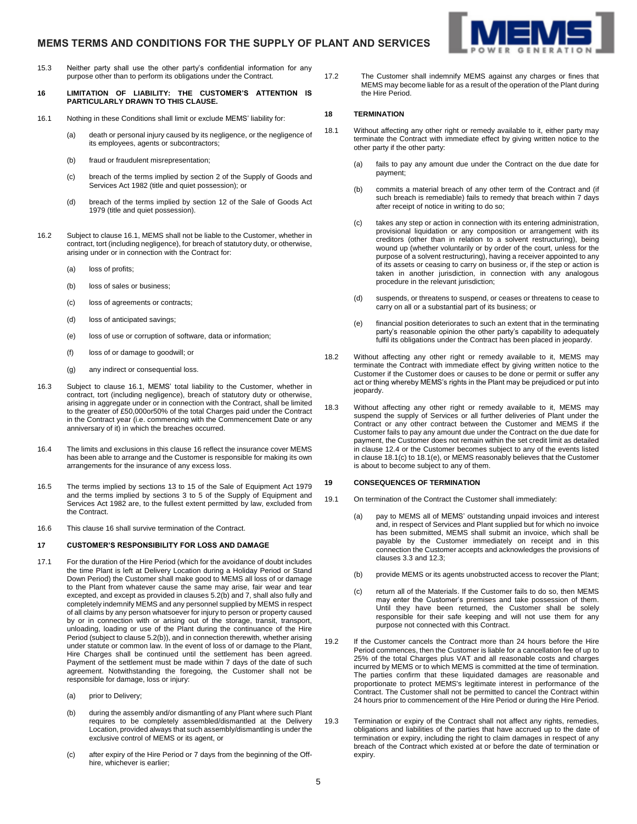# **MEMS TERMS AND CONDITIONS FOR THE SUPPLY OF PLANT AND SERVICES**



- 15.3 Neither party shall use the other party's confidential information for any purpose other than to perform its obligations under the Contract.
- <span id="page-4-0"></span>**16 LIMITATION OF LIABILITY: THE CUSTOMER'S ATTENTION IS PARTICULARLY DRAWN TO THIS CLAUSE.**
- <span id="page-4-2"></span>16.1 Nothing in these Conditions shall limit or exclude MEMS' liability for:
	- (a) death or personal injury caused by its negligence, or the negligence of its employees, agents or subcontractors;
	- (b) fraud or fraudulent misrepresentation;
	- (c) breach of the terms implied by section 2 of the Supply of Goods and Services Act 1982 (title and quiet possession); or
	- (d) breach of the terms implied by section 12 of the Sale of Goods Act 1979 (title and quiet possession).
- 16.2 Subject to claus[e 16.1,](#page-4-2) MEMS shall not be liable to the Customer, whether in contract, tort (including negligence), for breach of statutory duty, or otherwise, arising under or in connection with the Contract for:
	- (a) loss of profits;
	- (b) loss of sales or business;
	- (c) loss of agreements or contracts;
	- (d) loss of anticipated savings;
	- (e) loss of use or corruption of software, data or information;
	- (f) loss of or damage to goodwill; or
	- (g) any indirect or consequential loss.
- 16.3 Subject to clause [16.1,](#page-4-2) MEMS' total liability to the Customer, whether in contract, tort (including negligence), breach of statutory duty or otherwise, arising in aggregate under or in connection with the Contract, shall be limited to the greater of £50,000or50% of the total Charges paid under the Contract in the Contract year (i.e. commencing with the Commencement Date or any anniversary of it) in which the breaches occurred.
- 16.4 The limits and exclusions in this claus[e 16](#page-4-0) reflect the insurance cover MEMS has been able to arrange and the Customer is responsible for making its own arrangements for the insurance of any excess loss.
- 16.5 The terms implied by sections 13 to 15 of the Sale of Equipment Act 1979 and the terms implied by sections 3 to 5 of the Supply of Equipment and Services Act 1982 are, to the fullest extent permitted by law, excluded from the Contract.
- 16.6 This claus[e 16](#page-4-0) shall survive termination of the Contract.

# <span id="page-4-1"></span>**17 CUSTOMER'S RESPONSIBILITY FOR LOSS AND DAMAGE**

- 17.1 For the duration of the Hire Period (which for the avoidance of doubt includes the time Plant is left at Delivery Location during a Holiday Period or Stand Down Period) the Customer shall make good to MEMS all loss of or damage to the Plant from whatever cause the same may arise, fair wear and tear excepted, and except as provided in clause[s 5.2\(b\)](#page-1-0) and [7,](#page-2-1) shall also fully and completely indemnify MEMS and any personnel supplied by MEMS in respect of all claims by any person whatsoever for injury to person or property caused by or in connection with or arising out of the storage, transit, transport, unloading, loading or use of the Plant during the continuance of the Hire Period (subject to claus[e 5.2\(b\)\),](#page-1-0) and in connection therewith, whether arising under statute or common law. In the event of loss of or damage to the Plant, Hire Charges shall be continued until the settlement has been agreed. Payment of the settlement must be made within 7 days of the date of such agreement. Notwithstanding the foregoing, the Customer shall not be responsible for damage, loss or injury:
	- (a) prior to Delivery;
	- (b) during the assembly and/or dismantling of any Plant where such Plant requires to be completely assembled/dismantled at the Delivery Location, provided always that such assembly/dismantling is under the exclusive control of MEMS or its agent, or
	- (c) after expiry of the Hire Period or 7 days from the beginning of the Offhire, whichever is earlier;

17.2 The Customer shall indemnify MEMS against any charges or fines that MEMS may become liable for as a result of the operation of the Plant during the Hire Period.

# **18 TERMINATION**

- <span id="page-4-3"></span>18.1 Without affecting any other right or remedy available to it, either party may terminate the Contract with immediate effect by giving written notice to the other party if the other party:
	- (a) fails to pay any amount due under the Contract on the due date for payment;
	- (b) commits a material breach of any other term of the Contract and (if such breach is remediable) fails to remedy that breach within 7 days after receipt of notice in writing to do so;
	- (c) takes any step or action in connection with its entering administration, provisional liquidation or any composition or arrangement with its creditors (other than in relation to a solvent restructuring), being wound up (whether voluntarily or by order of the court, unless for the purpose of a solvent restructuring), having a receiver appointed to any of its assets or ceasing to carry on business or, if the step or action is taken in another jurisdiction, in connection with any analogous procedure in the relevant jurisdiction;
	- (d) suspends, or threatens to suspend, or ceases or threatens to cease to carry on all or a substantial part of its business; or
	- (e) financial position deteriorates to such an extent that in the terminating party's reasonable opinion the other party's capability to adequately fulfil its obligations under the Contract has been placed in jeopardy.
- <span id="page-4-4"></span>18.2 Without affecting any other right or remedy available to it, MEMS may terminate the Contract with immediate effect by giving written notice to the Customer if the Customer does or causes to be done or permit or suffer any act or thing whereby MEMS's rights in the Plant may be prejudiced or put into jeopardy.
- 18.3 Without affecting any other right or remedy available to it, MEMS may suspend the supply of Services or all further deliveries of Plant under the Contract or any other contract between the Customer and MEMS if the Customer fails to pay any amount due under the Contract on the due date for payment, the Customer does not remain within the set credit limit as detailed in claus[e 12.4](#page-3-1) or the Customer becomes subject to any of the events listed in claus[e 18.1\(c\)](#page-4-3) t[o 18.1\(e\),](#page-4-4) or MEMS reasonably believes that the Customer is about to become subject to any of them.

#### **19 CONSEQUENCES OF TERMINATION**

- 19.1 On termination of the Contract the Customer shall immediately:
	- (a) pay to MEMS all of MEMS' outstanding unpaid invoices and interest and, in respect of Services and Plant supplied but for which no invoice has been submitted, MEMS shall submit an invoice, which shall be payable by the Customer immediately on receipt and in this connection the Customer accepts and acknowledges the provisions of clause[s 3.3](#page-1-3) an[d 12.3;](#page-3-5)
	- (b) provide MEMS or its agents unobstructed access to recover the Plant;
	- (c) return all of the Materials. If the Customer fails to do so, then MEMS may enter the Customer's premises and take possession of them. Until they have been returned, the Customer shall be solely responsible for their safe keeping and will not use them for any purpose not connected with this Contract.
- 19.2 If the Customer cancels the Contract more than 24 hours before the Hire Period commences, then the Customer is liable for a cancellation fee of up to 25% of the total Charges plus VAT and all reasonable costs and charges incurred by MEMS or to which MEMS is committed at the time of termination. The parties confirm that these liquidated damages are reasonable and proportionate to protect MEMS's legitimate interest in performance of the Contract. The Customer shall not be permitted to cancel the Contract within 24 hours prior to commencement of the Hire Period or during the Hire Period.
- 19.3 Termination or expiry of the Contract shall not affect any rights, remedies, obligations and liabilities of the parties that have accrued up to the date of termination or expiry, including the right to claim damages in respect of any breach of the Contract which existed at or before the date of termination or expiry.